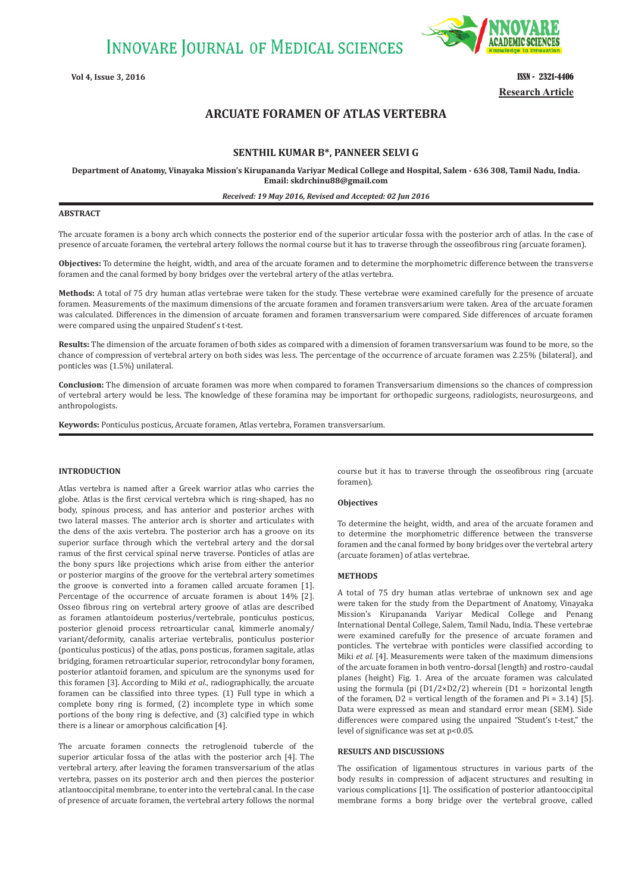**INNOVARE JOURNAL OF MEDICAL SCIENCES** 



**Vol 4, Issue 3, 2016 ISSN - 2321-4406 Research Article**

# **ARCUATE FORAMEN OF ATLAS VERTEBRA**

## **SENTHIL KUMAR B\*, PANNEER SELVI G**

**Department of Anatomy, Vinayaka Mission's Kirupananda Variyar Medical College and Hospital, Salem - 636 308, Tamil Nadu, India. Email: skdrchinu88@gmail.com**

## *Received: 19 May 2016, Revised and Accepted: 02 Jun 2016*

## **ABSTRACT**

The arcuate foramen is a bony arch which connects the posterior end of the superior articular fossa with the posterior arch of atlas. In the case of presence of arcuate foramen, the vertebral artery follows the normal course but it has to traverse through the osseofibrous ring (arcuate foramen).

**Objectives:** To determine the height, width, and area of the arcuate foramen and to determine the morphometric difference between the transverse foramen and the canal formed by bony bridges over the vertebral artery of the atlas vertebra.

**Methods:** A total of 75 dry human atlas vertebrae were taken for the study. These vertebrae were examined carefully for the presence of arcuate foramen. Measurements of the maximum dimensions of the arcuate foramen and foramen transversarium were taken. Area of the arcuate foramen was calculated. Differences in the dimension of arcuate foramen and foramen transversarium were compared. Side differences of arcuate foramen were compared using the unpaired Student's t-test.

**Results:** The dimension of the arcuate foramen of both sides as compared with a dimension of foramen transversarium was found to be more, so the chance of compression of vertebral artery on both sides was less. The percentage of the occurrence of arcuate foramen was 2.25% (bilateral), and ponticles was (1.5%) unilateral.

**Conclusion:** The dimension of arcuate foramen was more when compared to foramen Transversarium dimensions so the chances of compression of vertebral artery would be less. The knowledge of these foramina may be important for orthopedic surgeons, radiologists, neurosurgeons, and anthropologists.

**Keywords:** Ponticulus posticus, Arcuate foramen, Atlas vertebra, Foramen transversarium.

## **INTRODUCTION**

Atlas vertebra is named after a Greek warrior atlas who carries the globe. Atlas is the first cervical vertebra which is ring-shaped, has no body, spinous process, and has anterior and posterior arches with two lateral masses. The anterior arch is shorter and articulates with the dens of the axis vertebra. The posterior arch has a groove on its superior surface through which the vertebral artery and the dorsal ramus of the first cervical spinal nerve traverse. Ponticles of atlas are the bony spurs like projections which arise from either the anterior or posterior margins of the groove for the vertebral artery sometimes the groove is converted into a foramen called arcuate foramen [1]. Percentage of the occurrence of arcuate foramen is about 14% [2]. Osseo fibrous ring on vertebral artery groove of atlas are described as foramen atlantoideum posterius/vertebrale, ponticulus posticus, posterior glenoid process retroarticular canal, kimmerle anomaly/ variant/deformity, canalis arteriae vertebralis, ponticulus posterior (ponticulus posticus) of the atlas, pons posticus, foramen sagitale, atlas bridging, foramen retroarticular superior, retrocondylar bony foramen, posterior atlantoid foramen, and spiculum are the synonyms used for this foramen [3]. According to Miki *et al*., radiographically, the arcuate foramen can be classified into three types. (1) Full type in which a complete bony ring is formed, (2) incomplete type in which some portions of the bony ring is defective, and (3) calcified type in which there is a linear or amorphous calcification [4].

The arcuate foramen connects the retroglenoid tubercle of the superior articular fossa of the atlas with the posterior arch [4]. The vertebral artery, after leaving the foramen transversarium of the atlas vertebra, passes on its posterior arch and then pierces the posterior atlantooccipital membrane, to enter into the vertebral canal. In the case of presence of arcuate foramen, the vertebral artery follows the normal course but it has to traverse through the osseofibrous ring (arcuate foramen).

## **Objectives**

To determine the height, width, and area of the arcuate foramen and to determine the morphometric difference between the transverse foramen and the canal formed by bony bridges over the vertebral artery (arcuate foramen) of atlas vertebrae.

## **METHODS**

A total of 75 dry human atlas vertebrae of unknown sex and age were taken for the study from the Department of Anatomy, Vinayaka Mission's Kirupananda Variyar Medical College and Penang International Dental College, Salem, Tamil Nadu, India. These vertebrae were examined carefully for the presence of arcuate foramen and ponticles. The vertebrae with ponticles were classified according to Miki *et al.* [4]. Measurements were taken of the maximum dimensions of the arcuate foramen in both ventro-dorsal (length) and rostro-caudal planes (height) Fig. 1. Area of the arcuate foramen was calculated using the formula (pi  $(D1/2\times D2/2)$  wherein  $(D1 =$  horizontal length of the foramen,  $D2$  = vertical length of the foramen and  $Pi = 3.14$  [5]. Data were expressed as mean and standard error mean (SEM). Side differences were compared using the unpaired "Student's t-test," the level of significance was set at p<0.05.

#### **RESULTS AND DISCUSSIONS**

The ossification of ligamentous structures in various parts of the body results in compression of adjacent structures and resulting in various complications [1]. The ossification of posterior atlantooccipital membrane forms a bony bridge over the vertebral groove, called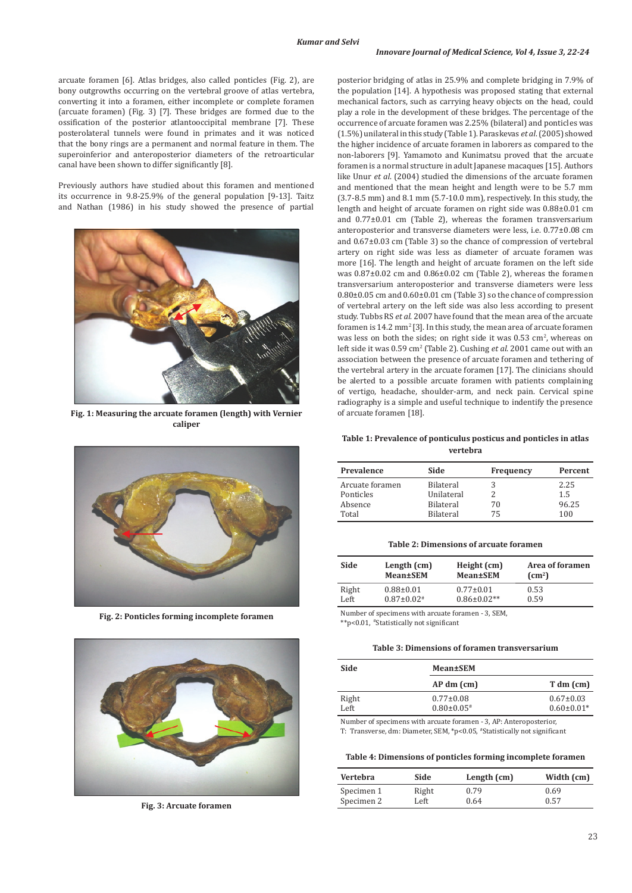arcuate foramen [6]. Atlas bridges, also called ponticles (Fig. 2), are bony outgrowths occurring on the vertebral groove of atlas vertebra, converting it into a foramen, either incomplete or complete foramen (arcuate foramen) (Fig. 3) [7]. These bridges are formed due to the ossification of the posterior atlantooccipital membrane [7]. These posterolateral tunnels were found in primates and it was noticed that the bony rings are a permanent and normal feature in them. The superoinferior and anteroposterior diameters of the retroarticular canal have been shown to differ significantly [8].

Previously authors have studied about this foramen and mentioned its occurrence in 9.8-25.9% of the general population [9-13]. Taitz and Nathan (1986) in his study showed the presence of partial



**Fig. 1: Measuring the arcuate foramen (length) with Vernier** of arcuate foramen [18]. **caliper**



**Fig. 2: Ponticles forming incomplete foramen**



**Fig. 3: Arcuate foramen**

posterior bridging of atlas in 25.9% and complete bridging in 7.9% of the population [14]. A hypothesis was proposed stating that external mechanical factors, such as carrying heavy objects on the head, could play a role in the development of these bridges. The percentage of the occurrence of arcuate foramen was 2.25% (bilateral) and ponticles was (1.5%) unilateral in this study (Table 1). Paraskevas *et al*. (2005) showed the higher incidence of arcuate foramen in laborers as compared to the non-laborers [9]. Yamamoto and Kunimatsu proved that the arcuate foramen is a normal structure in adult Japanese macaques [15]. Authors like Unur *et al*. (2004) studied the dimensions of the arcuate foramen and mentioned that the mean height and length were to be 5.7 mm (3.7-8.5 mm) and 8.1 mm (5.7-10.0 mm), respectively. In this study, the length and height of arcuate foramen on right side was 0.88±0.01 cm and 0.77±0.01 cm (Table 2), whereas the foramen transversarium anteroposterior and transverse diameters were less, i.e. 0.77±0.08 cm and 0.67±0.03 cm (Table 3) so the chance of compression of vertebral artery on right side was less as diameter of arcuate foramen was more [16]. The length and height of arcuate foramen on the left side was 0.87±0.02 cm and 0.86±0.02 cm (Table 2), whereas the foramen transversarium anteroposterior and transverse diameters were less 0.80±0.05 cm and 0.60±0.01 cm (Table 3) so the chance of compression of vertebral artery on the left side was also less according to present study. Tubbs RS *et al*. 2007 have found that the mean area of the arcuate foramen is  $14.2 \text{ mm}^2$  [3]. In this study, the mean area of arcuate foramen was less on both the sides; on right side it was  $0.53 \text{ cm}^2$ , whereas on left side it was 0.59 cm<sup>2</sup> (Table 2). Cushing et al. 2001 came out with an association between the presence of arcuate foramen and tethering of the vertebral artery in the arcuate foramen [17]. The clinicians should be alerted to a possible arcuate foramen with patients complaining of vertigo, headache, shoulder-arm, and neck pain. Cervical spine radiography is a simple and useful technique to indentify the presence

## **Table 1: Prevalence of ponticulus posticus and ponticles in atlas vertebra**

| Prevalence      | Side             | Frequency | Percent |
|-----------------|------------------|-----------|---------|
| Arcuate foramen | <b>Bilateral</b> |           | 2.25    |
| Ponticles       | Unilateral       |           | 1.5     |
| Absence         | <b>Bilateral</b> | 70        | 96.25   |
| Total           | <b>Bilateral</b> | 75        | 100     |

#### **Table 2: Dimensions of arcuate foramen**

| Side  | Length (cm)       | Height (cm)        | Area of foramen |
|-------|-------------------|--------------------|-----------------|
|       | <b>Mean±SEM</b>   | <b>Mean±SEM</b>    | $\text{cm}^2$   |
| Right | $0.88 \pm 0.01$   | $0.77 \pm 0.01$    | 0.53            |
| Left  | $0.87 \pm 0.02$ # | $0.86 \pm 0.02$ ** | 0.59            |

Number of specimens with arcuate foramen - 3, SEM, \*\*p<0.01, #Statistically not significant

#### **Table 3: Dimensions of foramen transversarium**

| Side          | Mean±SEM                             |                                     |  |  |
|---------------|--------------------------------------|-------------------------------------|--|--|
|               | $AP dm$ (cm)                         | $T dm$ (cm)                         |  |  |
| Right<br>Left | $0.77 \pm 0.08$<br>$0.80 \pm 0.05$ # | $0.67 \pm 0.03$<br>$0.60 \pm 0.01*$ |  |  |

Number of specimens with arcuate foramen - 3, AP: Anteroposterior, T: Transverse, dm: Diameter, SEM, \*p<0.05, #Statistically not significant

**Table 4: Dimensions of ponticles forming incomplete foramen**

| <b>Vertebra</b> | Side  | Length $(cm)$ | Width (cm) |
|-----------------|-------|---------------|------------|
| Specimen 1      | Right | 0.79          | 0.69       |
| Specimen 2      | Left  | 0.64          | 0.57       |